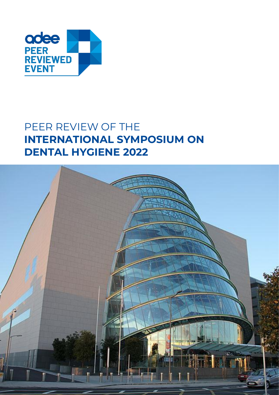

# PEER REVIEW OF THE **INTERNATIONAL SYMPOSIUM ON DENTAL HYGIENE 2022**

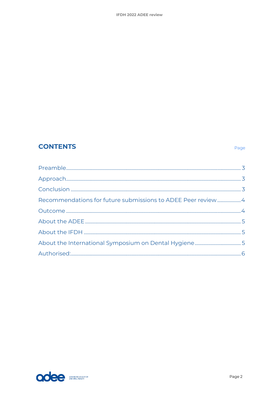## **CONTENTS**

| Recommendations for future submissions to ADEE Peer review4 |  |
|-------------------------------------------------------------|--|
|                                                             |  |
|                                                             |  |
|                                                             |  |
|                                                             |  |
|                                                             |  |
|                                                             |  |

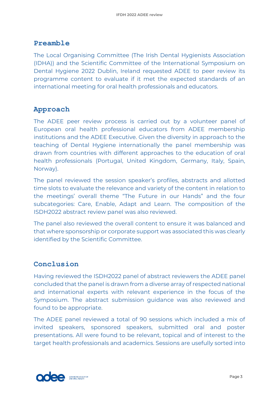### <span id="page-2-0"></span>**Preamble**

The Local Organising Committee (The Irish Dental Hygienists Association (IDHA)) and the Scientific Committee of the International Symposium on Dental Hygiene 2022 Dublin, Ireland requested ADEE to peer review its programme content to evaluate if it met the expected standards of an international meeting for oral health professionals and educators.

## <span id="page-2-1"></span>**Approach**

The ADEE peer review process is carried out by a volunteer panel of European oral health professional educators from ADEE membership institutions and the ADEE Executive. Given the diversity in approach to the teaching of Dental Hygiene internationally the panel membership was drawn from countries with different approaches to the education of oral health professionals (Portugal, United Kingdom, Germany, Italy, Spain, Norway).

The panel reviewed the session speaker's profiles, abstracts and allotted time slots to evaluate the relevance and variety of the content in relation to the meetings' overall theme "The Future in our Hands" and the four subcategories: Care, Enable, Adapt and Learn. The composition of the ISDH2022 abstract review panel was also reviewed.

The panel also reviewed the overall content to ensure it was balanced and that where sponsorship or corporate support was associated this was clearly identified by the Scientific Committee.

## <span id="page-2-2"></span>**Conclusion**

Having reviewed the ISDH2022 panel of abstract reviewers the ADEE panel concluded that the panel is drawn from a diverse array of respected national and international experts with relevant experience in the focus of the Symposium. The abstract submission guidance was also reviewed and found to be appropriate.

The ADEE panel reviewed a total of 90 sessions which included a mix of invited speakers, sponsored speakers, submitted oral and poster presentations. All were found to be relevant, topical and of interest to the target health professionals and academics. Sessions are usefully sorted into

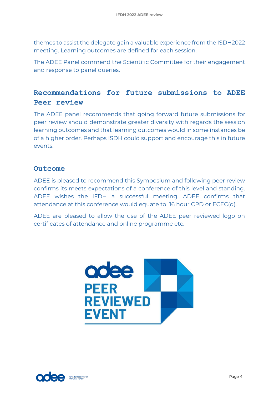themes to assist the delegate gain a valuable experience from the ISDH2022 meeting. Learning outcomes are defined for each session.

The ADEE Panel commend the Scientific Committee for their engagement and response to panel queries.

## <span id="page-3-0"></span>**Recommendations for future submissions to ADEE Peer review**

The ADEE panel recommends that going forward future submissions for peer review should demonstrate greater diversity with regards the session learning outcomes and that learning outcomes would in some instances be of a higher order. Perhaps ISDH could support and encourage this in future events.

#### <span id="page-3-1"></span>**Outcome**

ADEE is pleased to recommend this Symposium and following peer review confirms its meets expectations of a conference of this level and standing. ADEE wishes the IFDH a successful meeting. ADEE confirms that attendance at this conference would equate to 16 hour CPD or ECEC(d).

ADEE are pleased to allow the use of the ADEE peer reviewed logo on certificates of attendance and online programme etc.



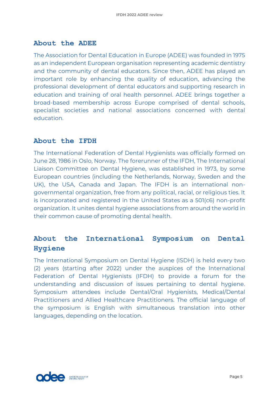#### <span id="page-4-0"></span>**About the ADEE**

The Association for Dental Education in Europe (ADEE) was founded in 1975 as an independent European organisation representing academic dentistry and the community of dental educators. Since then, ADEE has played an important role by enhancing the quality of education, advancing the professional development of dental educators and supporting research in education and training of oral health personnel. ADEE brings together a broad-based membership across Europe comprised of dental schools, specialist societies and national associations concerned with dental education.

#### <span id="page-4-1"></span>**About the IFDH**

The International Federation of Dental Hygienists was officially formed on June 28, 1986 in Oslo, Norway. The forerunner of the IFDH, The International Liaison Committee on Dental Hygiene, was established in 1973, by some European countries (including the Netherlands, Norway, Sweden and the UK), the USA, Canada and Japan. The IFDH is an international nongovernmental organization, free from any political, racial, or religious ties. It is incorporated and registered in the United States as a 501(c6) non-profit organization. It unites dental hygiene associations from around the world in their common cause of promoting dental health.

## <span id="page-4-2"></span>**About the International Symposium on Dental Hygiene**

The International Symposium on Dental Hygiene (ISDH) is held every two (2) years (starting after 2022) under the auspices of the International Federation of Dental Hygienists (IFDH) to provide a forum for the understanding and discussion of issues pertaining to dental hygiene. Symposium attendees include Dental/Oral Hygienists, Medical/Dental Practitioners and Allied Healthcare Practitioners. The official language of the symposium is English with simultaneous translation into other languages, depending on the location.

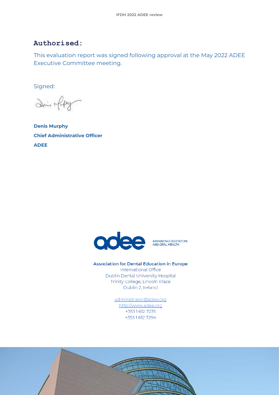### <span id="page-5-0"></span>**Authorised:**

This evaluation report was signed following approval at the May 2022 ADEE Executive Committee meeting.

Signed:

Dein fly

**Denis Murphy Chief Administrative Officer ADEE**



#### **Association for Dental Education in Europe**

International Office Dublin Dental University Hospital Trinity College, Lincoln Place Dublin 2, Ireland

> administrator@adee.org http://www.adee.org +353 1 612 7235 +35316127294